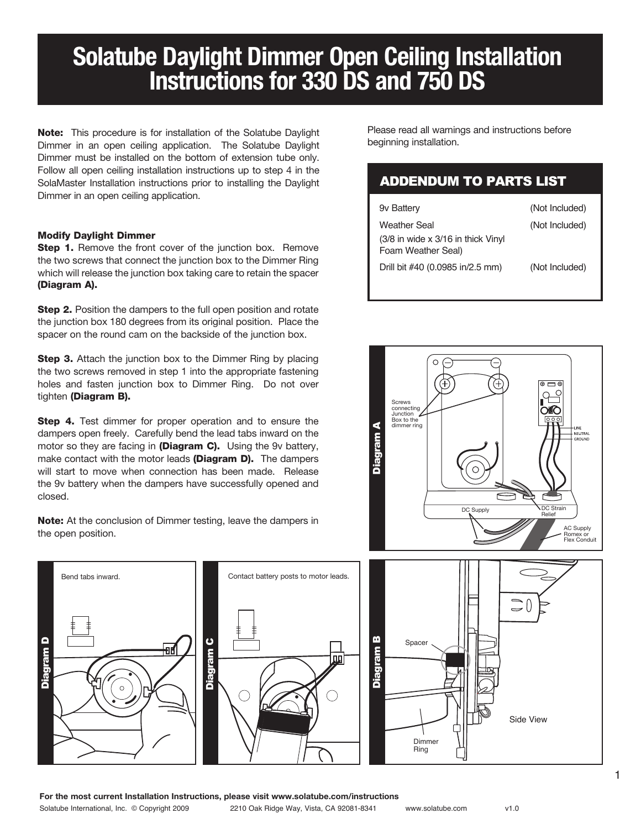## **Solatube Daylight Dimmer Open Ceiling Installation Instructions for 330 DS and 750 DS**

Note: This procedure is for installation of the Solatube Daylight Dimmer in an open ceiling application. The Solatube Daylight Dimmer must be installed on the bottom of extension tube only. Follow all open ceiling installation instructions up to step 4 in the SolaMaster Installation instructions prior to installing the Daylight Dimmer in an open ceiling application.

## Modify Daylight Dimmer

**Step 1.** Remove the front cover of the junction box. Remove the two screws that connect the junction box to the Dimmer Ring which will release the junction box taking care to retain the spacer (Diagram A).

**Step 2.** Position the dampers to the full open position and rotate the junction box 180 degrees from its original position. Place the spacer on the round cam on the backside of the junction box.

**Step 3.** Attach the junction box to the Dimmer Ring by placing the two screws removed in step 1 into the appropriate fastening holes and fasten junction box to Dimmer Ring. Do not over tighten (Diagram B).

**Step 4.** Test dimmer for proper operation and to ensure the dampers open freely. Carefully bend the lead tabs inward on the motor so they are facing in (Diagram C). Using the 9v battery, make contact with the motor leads (Diagram D). The dampers will start to move when connection has been made. Release the 9v battery when the dampers have successfully opened and closed.

Note: At the conclusion of Dimmer testing, leave the dampers in the open position.

Bend tabs inward. The contact battery posts to motor leads. Diagram D Diagram C  $\circ$ 

Please read all warnings and instructions before beginning installation.

## ADDENDUM TO PARTS LIST

| 9y Battery                                                  | (Not Included) |
|-------------------------------------------------------------|----------------|
| Weather Seal                                                | (Not Included) |
| $(3/8)$ in wide x 3/16 in thick Vinyl<br>Foam Weather Seal) |                |
| Drill bit #40 (0.0985 in/2.5 mm)                            | (Not Included) |





**For the most current Installation Instructions, please visit www.solatube.com/instructions**

Solatube International, Inc. © Copyright 2009 2210 Oak Ridge Way, Vista, CA 92081-8341 www.solatube.com v1.0